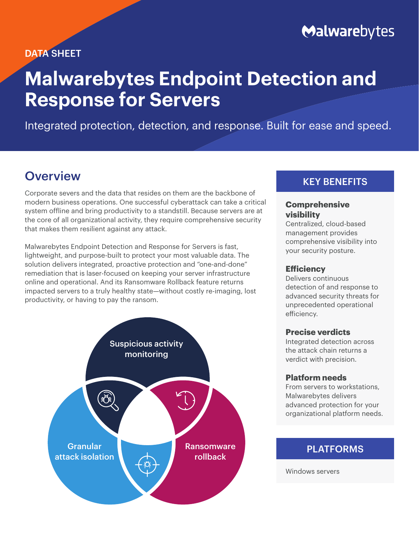### DATA SHEET

## Malwarebytes

# **Malwarebytes Endpoint Detection and Response for Servers**

Integrated protection, detection, and response. Built for ease and speed.

### **Overview**

Corporate severs and the data that resides on them are the backbone of modern business operations. One successful cyberattack can take a critical system offline and bring productivity to a standstill. Because servers are at the core of all organizational activity, they require comprehensive security that makes them resilient against any attack.

Malwarebytes Endpoint Detection and Response for Servers is fast, lightweight, and purpose-built to protect your most valuable data. The solution delivers integrated, proactive protection and "one-and-done" remediation that is laser-focused on keeping your server infrastructure online and operational. And its Ransomware Rollback feature returns impacted servers to a truly healthy state—without costly re-imaging, lost productivity, or having to pay the ransom.



### KEY BENEFITS

#### **Comprehensive visibility**

Centralized, cloud-based management provides comprehensive visibility into your security posture.

### **Efficiency**

Delivers continuous detection of and response to advanced security threats for unprecedented operational efficiency.

#### **Precise verdicts**

Integrated detection across the attack chain returns a verdict with precision.

#### **Platform needs**

From servers to workstations, Malwarebytes delivers advanced protection for your organizational platform needs.

Windows servers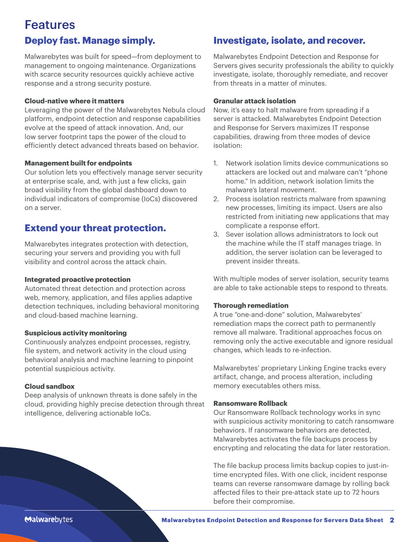### Features

### **Deploy fast. Manage simply.**

Malwarebytes was built for speed—from deployment to management to ongoing maintenance. Organizations with scarce security resources quickly achieve active response and a strong security posture.

#### **Cloud-native where it matters**

Leveraging the power of the Malwarebytes Nebula cloud platform, endpoint detection and response capabilities evolve at the speed of attack innovation. And, our low server footprint taps the power of the cloud to efficiently detect advanced threats based on behavior.

#### **Management built for endpoints**

Our solution lets you effectively manage server security at enterprise scale, and, with just a few clicks, gain broad visibility from the global dashboard down to individual indicators of compromise (IoCs) discovered on a server.

### **Extend your threat protection.**

Malwarebytes integrates protection with detection, securing your servers and providing you with full visibility and control across the attack chain.

#### **Integrated proactive protection**

Automated threat detection and protection across web, memory, application, and files applies adaptive detection techniques, including behavioral monitoring and cloud-based machine learning.

#### **Suspicious activity monitoring**

Continuously analyzes endpoint processes, registry, file system, and network activity in the cloud using behavioral analysis and machine learning to pinpoint potential suspicious activity.

#### **Cloud sandbox**

Deep analysis of unknown threats is done safely in the cloud, providing highly precise detection through threat intelligence, delivering actionable IoCs.

### **Investigate, isolate, and recover.**

Malwarebytes Endpoint Detection and Response for Servers gives security professionals the ability to quickly investigate, isolate, thoroughly remediate, and recover from threats in a matter of minutes.

#### **Granular attack isolation**

Now, it's easy to halt malware from spreading if a server is attacked. Malwarebytes Endpoint Detection and Response for Servers maximizes IT response capabilities, drawing from three modes of device isolation:

- 1. Network isolation limits device communications so attackers are locked out and malware can't "phone home." In addition, network isolation limits the malware's lateral movement.
- 2. Process isolation restricts malware from spawning new processes, limiting its impact. Users are also restricted from initiating new applications that may complicate a response effort.
- 3. Sever isolation allows administrators to lock out the machine while the IT staff manages triage. In addition, the server isolation can be leveraged to prevent insider threats.

With multiple modes of server isolation, security teams are able to take actionable steps to respond to threats.

#### **Thorough remediation**

A true "one-and-done" solution, Malwarebytes' remediation maps the correct path to permanently remove all malware. Traditional approaches focus on removing only the active executable and ignore residual changes, which leads to re-infection.

Malwarebytes' proprietary Linking Engine tracks every artifact, change, and process alteration, including memory executables others miss.

#### **Ransomware Rollback**

Our Ransomware Rollback technology works in sync with suspicious activity monitoring to catch ransomware behaviors. If ransomware behaviors are detected, Malwarebytes activates the file backups process by encrypting and relocating the data for later restoration.

The file backup process limits backup copies to just-intime encrypted files. With one click, incident response teams can reverse ransomware damage by rolling back affected files to their pre-attack state up to 72 hours before their compromise.